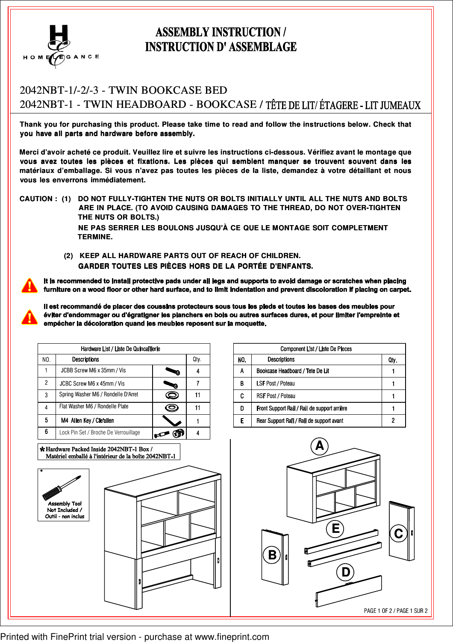

## **ASSEMBLY INSTRUCTION / INSTRUCTION D' ASSEMBLAGE**

### 2042NBT-1/-2/-3 - TWIN BOOKCASE BED 2042NBT-1/-2/-3 - TWIN BOOKCASE BED2042NBT-1 - TWIN HEADBOARD - BOOKCASE /

**Thank you for purchasing this product. Please take time to read and follow the instructions below. Check that you have all parts and hardware before assembly.**

**Merci d'avoir acheté ce produit. Veuillez lire et suivre les instructions ci-dessous. Vérifiez avant le montage que vous avez toutes les pièces et fixations. Les pièces qui semblent manquer se trouvent souvent dans les vous avez toutes les pièces et fixations. Les pièces qui semblent manquer se trouvent souvent dans lesmatériaux d'emballage. Si vous n'avez pas toutes les pièces de la liste, demandez à votre détaillant et nous vous les enverrons immédiatement.**

**CAUTION : (1) DO NOT FULLY-TIGHTEN THE NUTS OR BOLTS INITIALLY UNTIL ALL THE NUTS AND BOLTS ARE IN PLACE. (TO AVOID CAUSING DAMAGES TO THE THREAD, DO NOT OVER-TIGHTEN THE NUTS OR BOLTS.) NE PAS SERRER LES BOULONS JUSQU'À CE QUE LE MONTAGE SOIT COMPLETMENT TERMINE.** d'avoir acheté ce produit. Veuillez lire et suivez toutes les pièces et fixations. Les paux d'emballage. Si vous n'avez pas toutes enverrons immédiatement.<br>
ON : (1) DO NOT FULLY-TIGHTEN THE NU<br>
ARE IN PLACE. (TO AVOID CAU

 **(2) KEEP ALL HARDWARE PARTS OUT OF REACH OF CHILDREN. GARDER TOUTES LES PIÈCES HORS DE LA PORTÉE D'ENFANTS.**

| Hardware List / Liste De Quincaillerie |                                       |   |    |  |  |
|----------------------------------------|---------------------------------------|---|----|--|--|
| NO.                                    | <b>Descriptions</b>                   |   |    |  |  |
|                                        | JCBB Screw M6 x 35mm / Vis            |   |    |  |  |
| 2                                      | JCBC Screw M6 x 45mm / Vis            | о |    |  |  |
| 3                                      | Spring Washer M6 / Rondelle D'Arret   |   | 11 |  |  |
| 4                                      | Flat Washer M6 / Rondelle Plate       |   | 11 |  |  |
| 5                                      | M4 Allen Key / Cle'allen              |   |    |  |  |
| 6                                      | Lock Pin Set / Broche De Verrouillage |   |    |  |  |

\*Hardware Packed Inside 2042NBT-1 Box / Matériel emballé à l'intérieur de la boîte 2042NBT-1



| <b>Component List / Liste De Pieces</b> |                                              |      |  |  |
|-----------------------------------------|----------------------------------------------|------|--|--|
| NO.                                     | <b>Descriptions</b>                          | Qtv. |  |  |
| A                                       | Bookcase Headboard / Tete De Lit             |      |  |  |
| B                                       | <b>LSF Post / Poteau</b>                     |      |  |  |
| C                                       | <b>RSF Post / Poteau</b>                     |      |  |  |
| Ŋ                                       | Front Support Rail / Rail de support arrière |      |  |  |
| F                                       | Rear Support Rail / Rail de support avant    |      |  |  |



Printed with FinePrint trial version - purchase at www.fineprint.com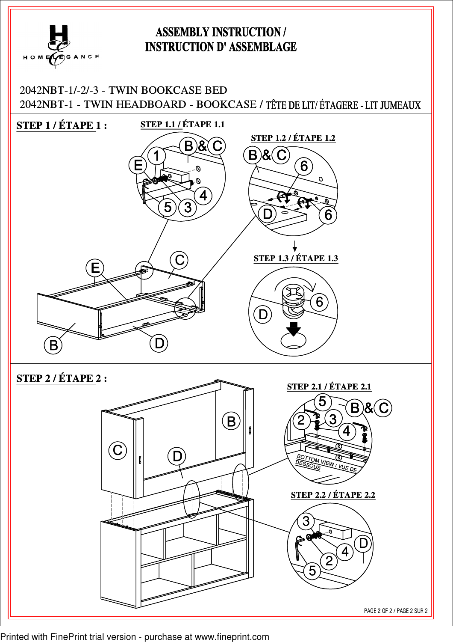# **ASSEMBLY INSTRUCTION / INSTRUCTION D' ASSEMBLAGE**  $(F)$ GANCE HOME 2042NBT-1/-2/-3 - TWIN BOOKCASE BED 2042NBT-1 - TWIN HEADBOARD - BOOKCASE / **STEP 1.1 / ÉTAPE 1.1 STEP 1 / ÉTAPE 1 : STEP 1 / ÉTAPE 1 :STEP 1.2 / ÉTAPE 1.2**  $B\&C$  $B$ )& $(C)$  $\mathbf{6}$  $\overline{O}$ 6 **STEP 1.3 / ÉTAPE 1.3** C E 6 D  $\overline{B}$  $\Box$

**STEP 2 / ÉTAPE 2 : STEP 2.1 / ÉTAPE 2.1**  $B\&C$  $\left( \mathsf{B}\right)$ 2 2Û  $\widehat{\textbf{C}}$ BOTTOM VIEW / VUE DE ſ, DESSOUS **STEP 2.2 / ÉTAPE 2.2** 3 D 4 2 5 PAGE 2 OF 2 / PAGE 2 SUR 2

Printed with FinePrint trial version - purchase at www.fineprint.com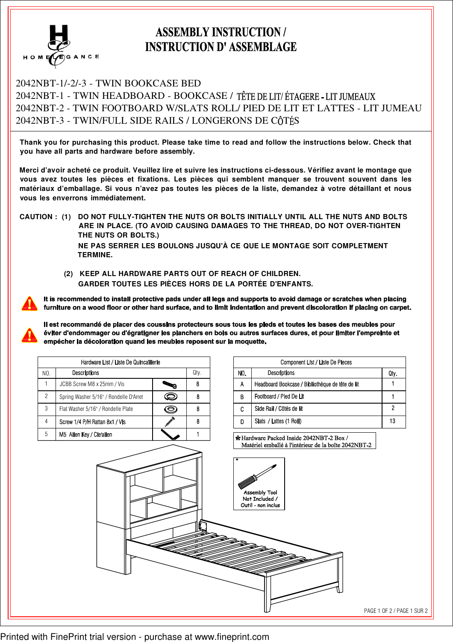

## **ASSEMBLY INSTRUCTION / INSTRUCTION D' ASSEMBLAGE**

### 2042NBT-1/-2/-3 - TWIN BOOKCASE BED 2042NBT-1 - TWIN HEADBOARD - BOOKCASE / 2042NBT-2 - TWIN FOOTBOARD W/SLATS ROLL/ PIED DE LIT ET LATTES - LIT JUMEAU 2042NBT-3 - TWIN/FULL SIDE RAILS / LONGERONS DE CÔTÉS

**Thank you for purchasing this product. Please take time to read and follow the instructions below. Check that you have all parts and hardware before assembly.**

**Merci d'avoir acheté ce produit. Veuillez lire et suivre les instructions ci-dessous. Vérifiez avant le montage que vous avez toutes les pièces et fixations. Les pièces qui semblent manquer se trouvent souvent dans les matériaux d'emballage. Si vous n'avez pas toutes les pièces de la liste, demandez à votre détaillant et nous vous les enverrons immédiatement.**

**CAUTION : (1) DO NOT FULLY-TIGHTEN THE NUTS OR BOLTS INITIALLY UNTIL ALL THE NUTS AND BOLTS ARE IN PLACE. (TO AVOID CAUSING DAMAGES TO THE THREAD, DO NOT OVER-TIGHTEN THE NUTS OR BOLTS.) NE PAS SERRER LES BOULONS JUSQU'À CE QUE LE MONTAGE SOIT COMPLETMENT TERMINE.**

> **(2) KEEP ALL HARDWARE PARTS OUT OF REACH OF CHILDREN. GARDER TOUTES LES PIÈCES HORS DE LA PORTÉE D'ENFANTS.**

It is recommended to install protective pads under all legs and supports to avoid damage or scratches when placing furniture on a wood floor or other hard surface, and to limit indentation and prevent discoloration if placing on carpet.

Il est recommandé de placer des coussins protecteurs sous tous les pieds et toutes les bases des meubles pour éviter d'endommager ou d'égratigner les planchers en bois ou autres surfaces dures, et pour limiter l'empreinte et empécher la décoloration quand les meubles reposent sur la moquette.

| Hardware List / Liste De Quincaillerie |                                        |  |      |  |  |
|----------------------------------------|----------------------------------------|--|------|--|--|
| NO.                                    | <b>Descriptions</b>                    |  | Qty. |  |  |
|                                        | JCBB Screw M8 x 25mm / Vis             |  |      |  |  |
| 2                                      | Spring Washer 5/16" / Rondelle D'Arret |  |      |  |  |
| 3                                      | Flat Washer 5/16" / Rondelle Plate     |  |      |  |  |
| 4                                      | Screw 1/4 P/H Rattan 8x1 / Vis         |  |      |  |  |
| 5                                      | M5 Allen Key / Cle'allen               |  |      |  |  |

| Component List / Liste De Pieces |                                                  |      |  |  |
|----------------------------------|--------------------------------------------------|------|--|--|
| NO.                              | <b>Descriptions</b>                              | Qtv. |  |  |
| A                                | Headboard Bookcase / Bibliothèque de tête de lit |      |  |  |
| в                                | Footboard / Pied De Lit                          |      |  |  |
| C                                | Side Rail / Côtés de lit                         |      |  |  |
| D                                | Slats / Lattes (1 Roll)                          | 13   |  |  |

\*Hardware Packed Inside 2042NBT-2 Box / Matériel emballé à l'intérieur de la boîte 2042NBT-2



Printed with FinePrint trial version - purchase at www.fineprint.com